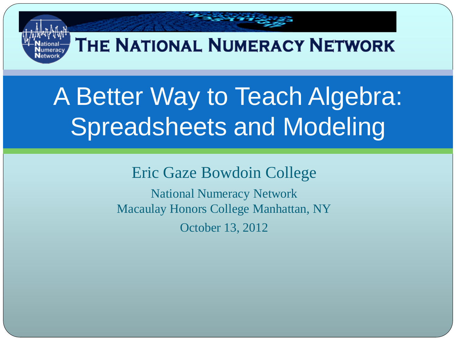### THE NATIONAL NUMERACY NETWORK

# A Better Way to Teach Algebra: Spreadsheets and Modeling

Eric Gaze Bowdoin College

National Numeracy Network Macaulay Honors College Manhattan, NY October 13, 2012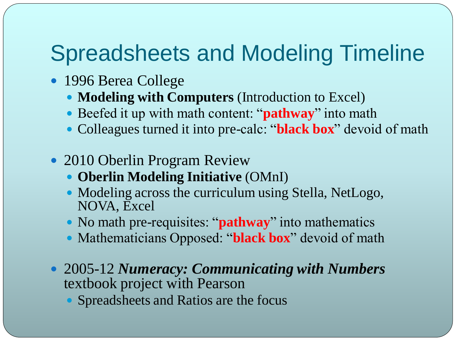### Spreadsheets and Modeling Timeline

- 1996 Berea College
	- **Modeling with Computers** (Introduction to Excel)
	- Beefed it up with math content: "**pathway**" into math
	- Colleagues turned it into pre-calc: "**black box**" devoid of math
- 2010 Oberlin Program Review
	- **Oberlin Modeling Initiative** (OMnI)
	- Modeling across the curriculum using Stella, NetLogo, NOVA, Excel
	- No math pre-requisites: "**pathway**" into mathematics
	- Mathematicians Opposed: "**black box**" devoid of math
- 2005-12 *Numeracy: Communicating with Numbers*  textbook project with Pearson
	- Spreadsheets and Ratios are the focus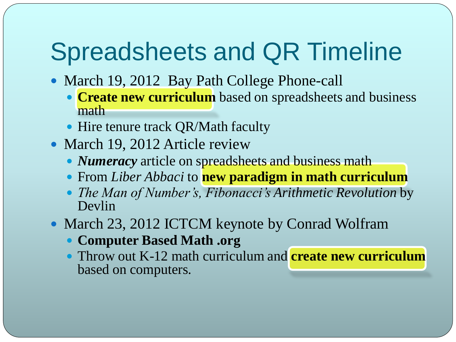# Spreadsheets and QR Timeline

- March 19, 2012 Bay Path College Phone-call
	- **Create new curriculum** based on spreadsheets and business math
	- Hire tenure track QR/Math faculty
- March 19, 2012 Article review
	- *Numeracy* article on spreadsheets and business math
	- From *Liber Abbaci* to **new paradigm in math curriculum**
	- *The Man of Number's, Fibonacci's Arithmetic Revolution* by Devlin
- March 23, 2012 ICTCM keynote by Conrad Wolfram
	- **Computer Based Math .org**
	- Throw out K-12 math curriculum and **create new curriculum**  based on computers.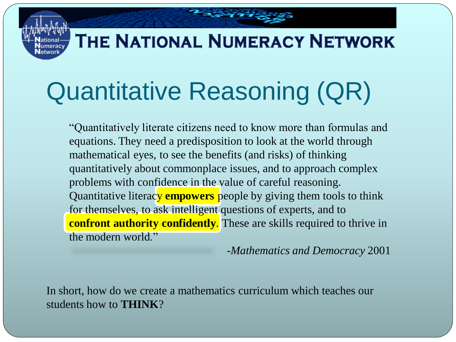### THE NATIONAL NUMERACY NETWORK

 $2 - 3$ 

# Quantitative Reasoning (QR)

"Quantitatively literate citizens need to know more than formulas and equations. They need a predisposition to look at the world through mathematical eyes, to see the benefits (and risks) of thinking quantitatively about commonplace issues, and to approach complex problems with confidence in the value of careful reasoning. Quantitative literacy **empowers** people by giving them tools to think for themselves, to ask intelligent questions of experts, and to **confront authority confidently.** These are skills required to thrive in the modern world."

-*Mathematics and Democracy* 2001

In short, how do we create a mathematics curriculum which teaches our students how to **THINK**?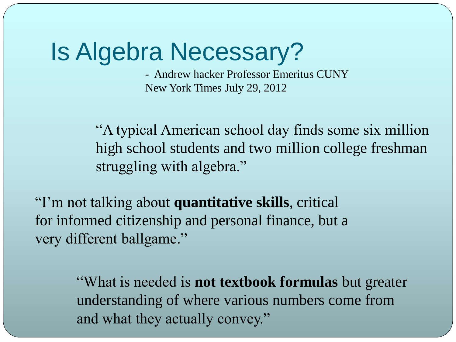### Is Algebra Necessary?

- Andrew hacker Professor Emeritus CUNY New York Times July 29, 2012

"A typical American school day finds some six million high school students and two million college freshman struggling with algebra."

"I'm not talking about **quantitative skills**, critical for informed citizenship and personal finance, but a very different ballgame."

> "What is needed is **not textbook formulas** but greater understanding of where various numbers come from and what they actually convey."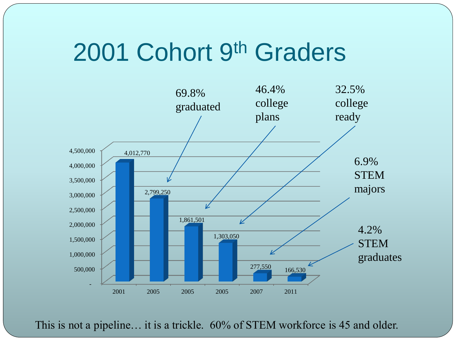### 2001 Cohort 9th Graders



This is not a pipeline… it is a trickle. 60% of STEM workforce is 45 and older.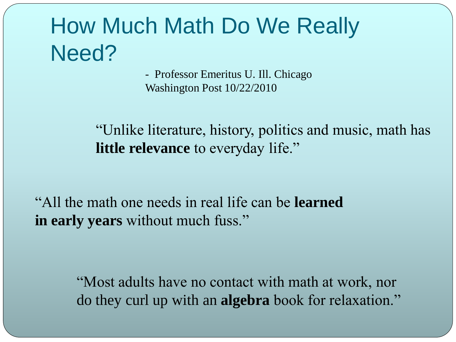### How Much Math Do We Really Need?

- Professor Emeritus U. Ill. Chicago Washington Post 10/22/2010

"Unlike literature, history, politics and music, math has **little relevance** to everyday life."

"All the math one needs in real life can be **learned in early years** without much fuss."

> "Most adults have no contact with math at work, nor do they curl up with an **algebra** book for relaxation."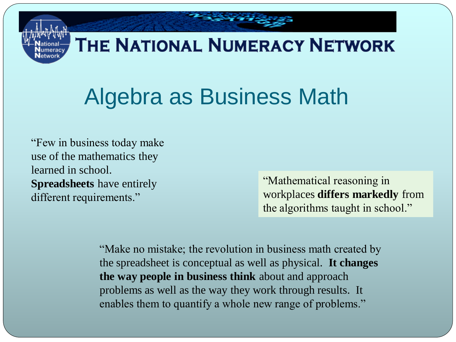### THE NATIONAL NUMERACY NETWORK

# Algebra as Business Math

"Few in business today make use of the mathematics they learned in school. **Spreadsheets** have entirely different requirements."

"Mathematical reasoning in workplaces **differs markedly** from the algorithms taught in school."

"Make no mistake; the revolution in business math created by the spreadsheet is conceptual as well as physical. **It changes the way people in business think** about and approach problems as well as the way they work through results. It enables them to quantify a whole new range of problems."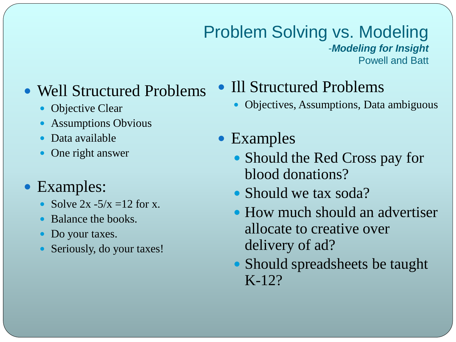#### Problem Solving vs. Modeling -*Modeling for Insight* Powell and Batt

### • Well Structured Problems

- Objective Clear
- Assumptions Obvious
- Data available
- One right answer

#### • Examples:

- Solve  $2x 5/x = 12$  for x.
- Balance the books.
- Do your taxes.
- Seriously, do your taxes!

#### • Ill Structured Problems

- Objectives, Assumptions, Data ambiguous
- Examples
	- Should the Red Cross pay for blood donations?
	- Should we tax soda?
	- How much should an advertiser allocate to creative over delivery of ad?
	- Should spreadsheets be taught K-12?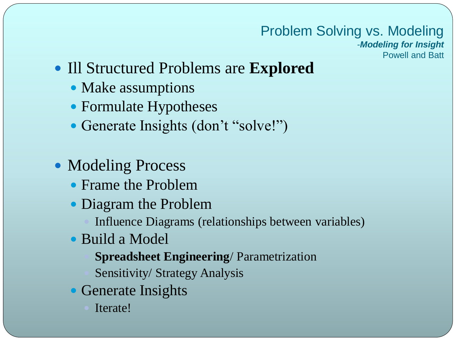#### Problem Solving vs. Modeling

-*Modeling for Insight* Powell and Batt

- Ill Structured Problems are **Explored**
	- Make assumptions
	- Formulate Hypotheses
	- Generate Insights (don't "solve!")
- Modeling Process
	- Frame the Problem
	- Diagram the Problem
		- Influence Diagrams (relationships between variables)
	- Build a Model
		- **Spreadsheet Engineering**/ Parametrization
		- Sensitivity/ Strategy Analysis
	- Generate Insights
		- Iterate!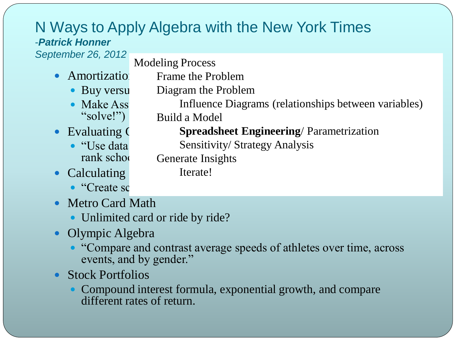#### N Ways to Apply Algebra with the New York Times -*Patrick Honner*

Frame the Problem

*September 26, 2012*

Modeling Process

- $\bullet$  Amortization
	- $\bullet$  Buy versu Diagram the Problem
	- Make Ass Influence Diagrams (relationships between variables) "solve!")
- $\bullet$  Evaluating  $\bullet$ 
	- rank school
- Calculating
	- $\bullet$  "Create sc
- Metro Card Math
	- Unlimited card or ride by ride?
- Olympic Algebra
	- "Compare and contrast average speeds of athletes over time, across events, and by gender."
- Stock Portfolios
	- Compound interest formula, exponential growth, and compare different rates of return.

Iterate!

Build a Model **Spreadsheet Engineering**/ Parametrization

• "Use data Sensitivity/ Strategy Analysis

Generate Insights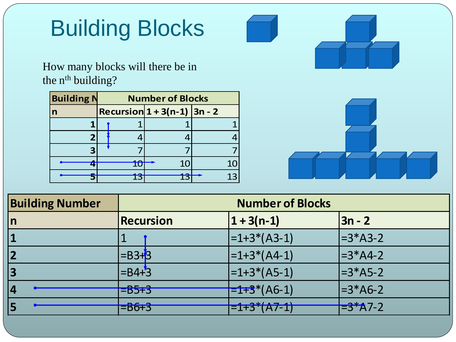# Building Blocks

How many blocks will there be in the n<sup>th</sup> building?

| <b>Building N</b> |    | <b>Number of Blocks</b>       |    |                         |
|-------------------|----|-------------------------------|----|-------------------------|
| $\mathsf{n}$      |    | Recursion $1 + 3(n-1)$ 3n - 2 |    |                         |
|                   |    |                               |    |                         |
| 2                 |    |                               |    |                         |
| з                 |    |                               |    |                         |
|                   | 10 | 10 <sup>1</sup>               | 10 |                         |
|                   | 13 | 13                            | 13 |                         |
|                   |    |                               |    |                         |
| g Number          |    |                               |    | <b>Number of Blocks</b> |



| <b>Building Number</b> |                          | <b>Number of Blocks</b>                                                                        |                     |  |  |  |  |  |  |  |  |
|------------------------|--------------------------|------------------------------------------------------------------------------------------------|---------------------|--|--|--|--|--|--|--|--|
| In                     | <b>Recursion</b>         | $1 + 3(n-1)$                                                                                   | $3n - 2$            |  |  |  |  |  |  |  |  |
| 1                      |                          | $\left  =1+3*(A-3) \right $                                                                    | $=3*A3-2$           |  |  |  |  |  |  |  |  |
| 2                      | $=B3+3$                  | $\left  =1+3*(A4-1) \right $                                                                   | $=3*A4-2$           |  |  |  |  |  |  |  |  |
| 3                      | $=$ B4+3                 | $\left  =1+3*(A5-1) \right $                                                                   | $=3*AB-2$           |  |  |  |  |  |  |  |  |
| 4                      | $= 165 + 3$              | $\left  \frac{-1}{2} \cdot \frac{3}{2} \cdot (A6 - 1) \right $                                 | $=3*AG-2$           |  |  |  |  |  |  |  |  |
| 5                      | $=$ $\overline{B6}$ $+3$ | $\bigcap_{i=1}^{n} A_{i} \cup A_{i} \longrightarrow A_{i}$<br>$=$ $1 + 5$ $($ $A$ $/$ $ 1$ $)$ | $\frac{-3^*}{47-2}$ |  |  |  |  |  |  |  |  |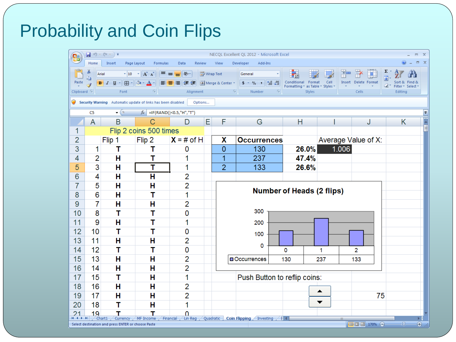### Probability and Coin Flips

| П.                     | $\begin{array}{lll} \hline \textbf{H} & \textbf{H} & \textbf{H} & \textbf{H} & \textbf{H} \\ \hline \textbf{H} & \textbf{H} & \textbf{H} & \textbf{H} & \textbf{H} \\ \hline \textbf{H} & \textbf{H} & \textbf{H} & \textbf{H} & \textbf{H} \\ \hline \textbf{H} & \textbf{H} & \textbf{H} & \textbf{H} & \textbf{H} \\ \hline \textbf{H} & \textbf{H} & \textbf{H} & \textbf{H} & \textbf{H} \\ \hline \textbf{H} & \textbf{H} & \textbf{H$<br>NECQL Excellent QL 2012 - Microsoft Excel<br>$\Box$<br>$\Box$<br>$\circledcirc$<br>$\mathbf{x}$<br>Page Layout<br>Review<br>Developer |                                                                                                                                                                                                                                                                                                                                                                                                                                                                                                                                                                                                      |                                                              |                           |           |                  |                                         |                                                           |            |                             |                                           |  |  |
|------------------------|---------------------------------------------------------------------------------------------------------------------------------------------------------------------------------------------------------------------------------------------------------------------------------------------------------------------------------------------------------------------------------------------------------------------------------------------------------------------------------------------------------------------------------------------------------------------------------------|------------------------------------------------------------------------------------------------------------------------------------------------------------------------------------------------------------------------------------------------------------------------------------------------------------------------------------------------------------------------------------------------------------------------------------------------------------------------------------------------------------------------------------------------------------------------------------------------------|--------------------------------------------------------------|---------------------------|-----------|------------------|-----------------------------------------|-----------------------------------------------------------|------------|-----------------------------|-------------------------------------------|--|--|
|                        | Home<br>ö                                                                                                                                                                                                                                                                                                                                                                                                                                                                                                                                                                             | Insert                                                                                                                                                                                                                                                                                                                                                                                                                                                                                                                                                                                               | Formulas                                                     | Data                      |           | View             | Add-Ins                                 |                                                           |            |                             | Σ                                         |  |  |
|                        | Arial<br>Ee                                                                                                                                                                                                                                                                                                                                                                                                                                                                                                                                                                           |                                                                                                                                                                                                                                                                                                                                                                                                                                                                                                                                                                                                      | $\mathbf{A}$ 10 $\mathbf{A}$ $\mathbf{A}$<br>특 금             | $  \gg$                   |           | http Text        | General                                 | π≤3                                                       | Cell       | ٦ū                          | 専                                         |  |  |
| Paste                  |                                                                                                                                                                                                                                                                                                                                                                                                                                                                                                                                                                                       | $B \quad I \quad \underline{\mathsf{U}} \; \; \overline{\phantom{a}} \quad \overline{\phantom{a}} \quad \overline{\phantom{a}} \quad \overline{\phantom{a}} \quad \overline{\phantom{a}} \quad \overline{\phantom{a}} \quad \overline{\phantom{a}} \quad \overline{\phantom{a}} \quad \overline{\phantom{a}} \quad \overline{\phantom{a}} \quad \overline{\phantom{a}} \quad \overline{\phantom{a}} \quad \overline{\phantom{a}} \quad \overline{\phantom{a}} \quad \overline{\phantom{a}} \quad \overline{\phantom{a}} \quad \overline{\phantom{a}} \quad \overline{\phantom{a}} \quad \overline{\$ | 履                                                            | $\leftarrow$ $\leftarrow$ |           | Merge & Center * | $\$\times\%$ , $\frac{1}{60}$ : 00<br>5 | Conditional<br>Format<br>Formatting * as Table * Styles * |            | <b>Insert</b> Delete Format | Find &<br>Sort &<br>a.<br>Filter * Select |  |  |
| Clipboard <sup>5</sup> |                                                                                                                                                                                                                                                                                                                                                                                                                                                                                                                                                                                       | Font                                                                                                                                                                                                                                                                                                                                                                                                                                                                                                                                                                                                 |                                                              | Alignment                 |           | 5                | Number                                  | Styles                                                    |            | Cells                       | Editing                                   |  |  |
|                        |                                                                                                                                                                                                                                                                                                                                                                                                                                                                                                                                                                                       |                                                                                                                                                                                                                                                                                                                                                                                                                                                                                                                                                                                                      | Security Warning Automatic update of links has been disabled | Options                   |           |                  |                                         |                                                           |            |                             |                                           |  |  |
|                        | C5                                                                                                                                                                                                                                                                                                                                                                                                                                                                                                                                                                                    | $ (2)$                                                                                                                                                                                                                                                                                                                                                                                                                                                                                                                                                                                               | $f_*$ =IF(RAND()<0.5,"H","T")                                |                           |           |                  |                                         |                                                           |            |                             | ×.                                        |  |  |
|                        | A                                                                                                                                                                                                                                                                                                                                                                                                                                                                                                                                                                                     | B                                                                                                                                                                                                                                                                                                                                                                                                                                                                                                                                                                                                    | С                                                            | D                         | E         | F                | G                                       | Н                                                         |            | J                           | Κ<br>H                                    |  |  |
| 1                      |                                                                                                                                                                                                                                                                                                                                                                                                                                                                                                                                                                                       |                                                                                                                                                                                                                                                                                                                                                                                                                                                                                                                                                                                                      | Flip 2 coins 500 times                                       |                           |           |                  |                                         |                                                           |            |                             |                                           |  |  |
| $\overline{2}$         |                                                                                                                                                                                                                                                                                                                                                                                                                                                                                                                                                                                       | Flip 1                                                                                                                                                                                                                                                                                                                                                                                                                                                                                                                                                                                               | Flip 2                                                       | $X = #$ of H              |           | χ                | <b>Occurrences</b>                      |                                                           |            | Average Value of X:         |                                           |  |  |
| 3                      | 1                                                                                                                                                                                                                                                                                                                                                                                                                                                                                                                                                                                     | т                                                                                                                                                                                                                                                                                                                                                                                                                                                                                                                                                                                                    | т                                                            | 0                         |           | 0                | 130                                     | 26.0%                                                     | 1.006      |                             |                                           |  |  |
| 4                      | 2                                                                                                                                                                                                                                                                                                                                                                                                                                                                                                                                                                                     | н                                                                                                                                                                                                                                                                                                                                                                                                                                                                                                                                                                                                    | т                                                            |                           |           | 1                | 237                                     | 47.4%                                                     |            |                             |                                           |  |  |
| 5                      | 3                                                                                                                                                                                                                                                                                                                                                                                                                                                                                                                                                                                     | Н                                                                                                                                                                                                                                                                                                                                                                                                                                                                                                                                                                                                    | т                                                            |                           |           | $\overline{2}$   | 133                                     | 26.6%                                                     |            |                             |                                           |  |  |
| 6                      | 4                                                                                                                                                                                                                                                                                                                                                                                                                                                                                                                                                                                     | н                                                                                                                                                                                                                                                                                                                                                                                                                                                                                                                                                                                                    | H                                                            | 2                         |           |                  |                                         |                                                           |            |                             |                                           |  |  |
| $\overline{7}$         | 5                                                                                                                                                                                                                                                                                                                                                                                                                                                                                                                                                                                     | H                                                                                                                                                                                                                                                                                                                                                                                                                                                                                                                                                                                                    | H                                                            | $\overline{2}$            |           |                  |                                         | <b>Number of Heads (2 flips)</b>                          |            |                             |                                           |  |  |
| 8                      | 6                                                                                                                                                                                                                                                                                                                                                                                                                                                                                                                                                                                     | Н                                                                                                                                                                                                                                                                                                                                                                                                                                                                                                                                                                                                    | т                                                            | 1                         |           |                  |                                         |                                                           |            |                             |                                           |  |  |
| 9                      | 7                                                                                                                                                                                                                                                                                                                                                                                                                                                                                                                                                                                     | Н                                                                                                                                                                                                                                                                                                                                                                                                                                                                                                                                                                                                    | Н                                                            | 2                         |           |                  | 300                                     |                                                           |            |                             |                                           |  |  |
| 10                     | 8                                                                                                                                                                                                                                                                                                                                                                                                                                                                                                                                                                                     | Т                                                                                                                                                                                                                                                                                                                                                                                                                                                                                                                                                                                                    | Τ                                                            | 0                         |           |                  |                                         |                                                           |            |                             |                                           |  |  |
| 11                     | 9                                                                                                                                                                                                                                                                                                                                                                                                                                                                                                                                                                                     | Н                                                                                                                                                                                                                                                                                                                                                                                                                                                                                                                                                                                                    | т                                                            | 1                         |           |                  | 200                                     |                                                           |            |                             |                                           |  |  |
| 12                     | 10                                                                                                                                                                                                                                                                                                                                                                                                                                                                                                                                                                                    | т                                                                                                                                                                                                                                                                                                                                                                                                                                                                                                                                                                                                    | т                                                            | 0                         |           |                  | 100                                     |                                                           |            |                             |                                           |  |  |
| 13                     | 11                                                                                                                                                                                                                                                                                                                                                                                                                                                                                                                                                                                    | H                                                                                                                                                                                                                                                                                                                                                                                                                                                                                                                                                                                                    | н                                                            | $\overline{2}$            |           |                  | 0                                       |                                                           |            |                             |                                           |  |  |
| 14                     | 12                                                                                                                                                                                                                                                                                                                                                                                                                                                                                                                                                                                    | т                                                                                                                                                                                                                                                                                                                                                                                                                                                                                                                                                                                                    | т                                                            | 0                         |           |                  |                                         | 0                                                         | 1          | 2                           |                                           |  |  |
| 15                     | 13                                                                                                                                                                                                                                                                                                                                                                                                                                                                                                                                                                                    | Н                                                                                                                                                                                                                                                                                                                                                                                                                                                                                                                                                                                                    | H                                                            | 2                         |           |                  | Occurrences                             | 130                                                       | 237        | 133                         |                                           |  |  |
| 16                     | 14                                                                                                                                                                                                                                                                                                                                                                                                                                                                                                                                                                                    | Н                                                                                                                                                                                                                                                                                                                                                                                                                                                                                                                                                                                                    | Н                                                            | 2                         |           |                  |                                         |                                                           |            |                             |                                           |  |  |
| 17                     | 15                                                                                                                                                                                                                                                                                                                                                                                                                                                                                                                                                                                    | Т                                                                                                                                                                                                                                                                                                                                                                                                                                                                                                                                                                                                    | H                                                            | 1                         |           |                  | Push Button to reflip coins:            |                                                           |            |                             |                                           |  |  |
| 18                     | 16                                                                                                                                                                                                                                                                                                                                                                                                                                                                                                                                                                                    | Н                                                                                                                                                                                                                                                                                                                                                                                                                                                                                                                                                                                                    | н                                                            | 2                         |           |                  |                                         |                                                           | ▴          |                             |                                           |  |  |
| 19                     | 17                                                                                                                                                                                                                                                                                                                                                                                                                                                                                                                                                                                    | н                                                                                                                                                                                                                                                                                                                                                                                                                                                                                                                                                                                                    | н                                                            | 2                         |           |                  |                                         |                                                           |            | 75                          |                                           |  |  |
| 20                     | 18                                                                                                                                                                                                                                                                                                                                                                                                                                                                                                                                                                                    | т                                                                                                                                                                                                                                                                                                                                                                                                                                                                                                                                                                                                    | H                                                            | 1                         |           |                  |                                         |                                                           |            |                             |                                           |  |  |
| 21<br>$H + H$          | 19<br>Chart1                                                                                                                                                                                                                                                                                                                                                                                                                                                                                                                                                                          | Currency                                                                                                                                                                                                                                                                                                                                                                                                                                                                                                                                                                                             | MF Income                                                    | 0<br>Financial<br>Lin Reg | Quadratic |                  | <b>Coin Flipping</b><br>Investing       | 11 I                                                      | <b>III</b> |                             |                                           |  |  |
|                        |                                                                                                                                                                                                                                                                                                                                                                                                                                                                                                                                                                                       | Select destination and press ENTER or choose Paste                                                                                                                                                                                                                                                                                                                                                                                                                                                                                                                                                   |                                                              |                           |           |                  |                                         |                                                           |            | Ⅲ Ⅲ 170% ●                  | 40-<br>$\bigoplus$                        |  |  |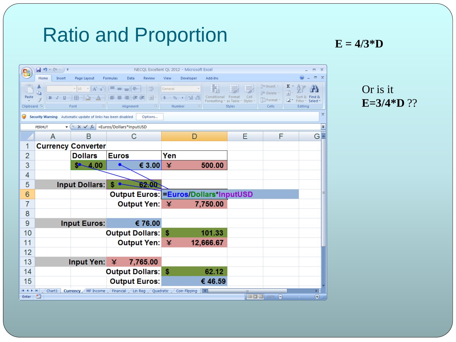### Ratio and Proportion **E** = 4/3\*D

| <b>B</b>                        | 日り<br>$(24 - )7$                 |                                                              |                                                                                                             |                                     |                                                                    | NECQL Excellent QL 2012 - Microsoft Excel |             |                                                                     |                                                 |                                               | $\mathbf{x}$<br>Ξ                |
|---------------------------------|----------------------------------|--------------------------------------------------------------|-------------------------------------------------------------------------------------------------------------|-------------------------------------|--------------------------------------------------------------------|-------------------------------------------|-------------|---------------------------------------------------------------------|-------------------------------------------------|-----------------------------------------------|----------------------------------|
|                                 | Home<br>Insert                   | Page Layout                                                  | Formulas<br>Data                                                                                            | Review                              | <b>View</b>                                                        | Developer                                 | Add-Ins     |                                                                     |                                                 |                                               | 点 X                              |
| Paste<br>Clipboard <sup>5</sup> | Ж<br>G)<br>$B$ $I$ $U$ $  $ $  $ | $\mathbf{A}$ 10 $\mathbf{A}$ $\mathbf{A}$<br>$-2+A$<br>Font  | $\  \equiv \equiv \equiv \  \hat{\mathbb{V}}^{\scriptscriptstyle +} \ $<br><b>EXECUTE</b><br>匡<br>Alignment | $\equiv$<br>$\frac{1}{2}$<br>图<br>看 | General<br>$\$\times\%$ , $\underset{.00}{\ast\,0}$ , 00<br>Number |                                           | Conditional | Cell<br>Format<br>Formatting * as Table * Styles *<br><b>Styles</b> | ata Insert ×<br>学 Delete -<br>Format *<br>Cells | Σ<br>$\overline{\bigtriangledown}$<br>Editing | Find &<br>Filter * Select        |
| Ο                               |                                  | Security Warning Automatic update of links has been disabled |                                                                                                             | Options                             |                                                                    |                                           |             |                                                                     |                                                 |                                               | x                                |
|                                 | <b>PERMUT</b>                    | $\bullet$ ( $\mathsf{X} \times f_x$ = Euros/Dollars*InputUSD |                                                                                                             |                                     |                                                                    |                                           |             |                                                                     |                                                 |                                               | ×.                               |
|                                 | A                                | B                                                            | C                                                                                                           |                                     |                                                                    | D                                         |             | Ε                                                                   | F                                               |                                               | G                                |
| 1                               |                                  | <b>Currency Converter</b>                                    |                                                                                                             |                                     |                                                                    |                                           |             |                                                                     |                                                 |                                               |                                  |
| $\overline{2}$                  |                                  | <b>Dollars</b>                                               | <b>Euros</b>                                                                                                |                                     | Yen                                                                |                                           |             |                                                                     |                                                 |                                               |                                  |
| 3                               |                                  | $$ -4.00$                                                    |                                                                                                             | € 3.00                              | ¥                                                                  |                                           | 500.00      |                                                                     |                                                 |                                               |                                  |
| 4                               |                                  |                                                              |                                                                                                             |                                     |                                                                    |                                           |             |                                                                     |                                                 |                                               |                                  |
| 5                               |                                  | Input Dollars:                                               | \$                                                                                                          | <u>02.00</u>                        |                                                                    |                                           |             |                                                                     |                                                 |                                               |                                  |
| 6                               |                                  |                                                              | Output Euros: Euros/Dollars*InputUSD                                                                        |                                     |                                                                    |                                           |             |                                                                     |                                                 |                                               |                                  |
| 7                               |                                  |                                                              | Output Yen: ¥                                                                                               |                                     |                                                                    |                                           | 7,750.00    |                                                                     |                                                 |                                               |                                  |
| 8                               |                                  |                                                              |                                                                                                             |                                     |                                                                    |                                           |             |                                                                     |                                                 |                                               |                                  |
| 9                               |                                  | <b>Input Euros:</b>                                          |                                                                                                             | € 76.00                             |                                                                    |                                           |             |                                                                     |                                                 |                                               |                                  |
| 10                              |                                  |                                                              | <b>Output Dollars:</b>                                                                                      |                                     | \$                                                                 |                                           | 101.33      |                                                                     |                                                 |                                               |                                  |
| 11                              |                                  |                                                              | <b>Output Yen:</b>                                                                                          |                                     | 半                                                                  |                                           | 12,666.67   |                                                                     |                                                 |                                               |                                  |
| 12                              |                                  |                                                              |                                                                                                             |                                     |                                                                    |                                           |             |                                                                     |                                                 |                                               |                                  |
| 13                              |                                  | Input Yen: $\angle$                                          |                                                                                                             | 7,765.00                            |                                                                    |                                           |             |                                                                     |                                                 |                                               |                                  |
| 14                              |                                  |                                                              | <b>Output Dollars:</b>                                                                                      |                                     | -S                                                                 |                                           | 62.12       |                                                                     |                                                 |                                               |                                  |
| 15                              |                                  |                                                              | <b>Output Euros:</b>                                                                                        |                                     |                                                                    |                                           | € 46.59     |                                                                     |                                                 |                                               |                                  |
| $+ + + +$<br>Enter              | Chart1<br><b>PET</b>             | <b>Currency</b><br>MF Income                                 | Financial / Lin Reg / Quadratic /                                                                           |                                     |                                                                    | Coin Flipping                             | -11 4 I     | <b>III</b>                                                          | $\Theta$<br>  田回凹 180%                          |                                               | Þ.<br>$\overline{r}$<br><b>A</b> |

Or is it **E=3/4\*D** ??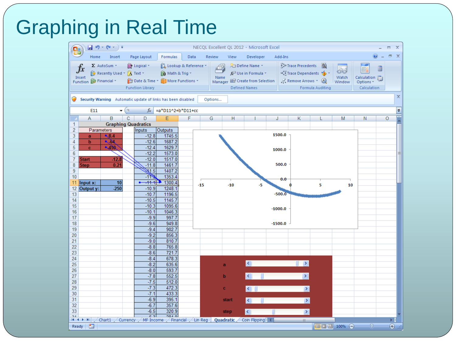| ٩a              |                               | 目の・ロー)                      |      |                                                              |                        |      |       |         |       | NECQL Excellent QL 2012 - Microsoft Excel        |   |           |                  |                     |                 |                          | Ξ      |
|-----------------|-------------------------------|-----------------------------|------|--------------------------------------------------------------|------------------------|------|-------|---------|-------|--------------------------------------------------|---|-----------|------------------|---------------------|-----------------|--------------------------|--------|
|                 | Home                          | Insert                      |      | Page Layout                                                  | Formulas               | Data |       | Review  | View  | Developer                                        |   | Add-Ins   |                  |                     |                 | $\circledcirc$           | $\Box$ |
|                 |                               | $\Sigma$ AutoSum $\sim$     |      | P Logical -                                                  | Lookup & Reference *   |      |       | 4       |       | Define Name *                                    |   |           | Frace Precedents | 场                   |                 | R                        | 靈      |
| Jх              |                               | Kx Recently Used ▼ A Text ▼ |      |                                                              | <b>A</b> Math & Trig * |      |       |         |       | $f_{\mathbf{x}}^{\square}$ Use in Formula $\tau$ |   |           |                  | Trace Dependents    | $\bigcirc$      | annas<br>Banal           |        |
| Insert          | Function <b>D</b> Financial * |                             |      | Date & Time * More Functions *                               |                        |      |       | Name    |       | Manager En Create from Selection                 |   |           |                  | Remove Arrows + (B) | Watch<br>Window | Calculation<br>Options * |        |
|                 |                               |                             |      | <b>Function Library</b>                                      |                        |      |       |         |       | <b>Defined Names</b>                             |   |           |                  | Formula Auditing    |                 | Calculation              |        |
|                 |                               |                             |      |                                                              |                        |      |       |         |       |                                                  |   |           |                  |                     |                 |                          |        |
| $\cup$          |                               |                             |      | Security Warning Automatic update of links has been disabled |                        |      |       | Options |       |                                                  |   |           |                  |                     |                 |                          |        |
|                 | E11                           |                             | $ ($ | $f_x$                                                        | =a*D11^2+b*D11+cc      |      |       |         |       |                                                  |   |           |                  |                     |                 |                          |        |
|                 | A                             | B                           | C    | D                                                            | E                      | F    |       | G       | н     |                                                  | J |           | Κ                | L                   | M               | N                        | O      |
| 1               |                               | <b>Graphing Quadratics</b>  |      |                                                              |                        |      |       |         |       |                                                  |   |           |                  |                     |                 |                          |        |
| $\overline{2}$  | Parameters                    |                             |      | <b>Inputs</b>                                                | Outputs                |      |       |         |       |                                                  |   |           |                  |                     |                 |                          |        |
| 3               | a                             | $\triangle$ 8.4             |      | $-12.8$                                                      | 1745.5                 |      |       |         |       |                                                  |   | 1500.0    |                  |                     |                 |                          |        |
| 4               | b                             | $\sim 64$                   |      | $-12.6$                                                      | 1687.2                 |      |       |         |       |                                                  |   |           |                  |                     |                 |                          |        |
| 5               | $\mathbf{c}$                  | $-450$                      |      | $-12.4$                                                      | 1629.7                 |      |       |         |       |                                                  |   | 1000.0    |                  |                     |                 |                          |        |
| $6\phantom{1}6$ |                               |                             |      | $-12.2$                                                      | 1573.0                 |      |       |         |       |                                                  |   |           |                  |                     |                 |                          |        |
| 7               | <b>Start</b>                  | $-12.8$                     |      | $-12.0$                                                      | 1517.0                 |      |       |         |       |                                                  |   |           |                  |                     |                 |                          |        |
| 8               | <b>Step</b>                   | 0.21                        |      | $-11.8$                                                      | 1461.7                 |      |       |         |       |                                                  |   | 500.0     |                  |                     |                 |                          |        |
| 9               |                               |                             |      | 31.5                                                         | 1407.2                 |      |       |         |       |                                                  |   |           |                  |                     |                 |                          |        |
| 10              |                               | 10                          |      | $-113$<br>$-11.1$<br>$\bullet$                               | 1353.4<br>1300.4       |      |       |         |       |                                                  |   | 0.0       |                  |                     |                 |                          |        |
| 11<br>12        | Input x:<br>Output y:         | $-250$                      |      | $-10.9$                                                      | 1248.1                 |      | $-15$ |         | $-10$ | -5                                               |   |           |                  | 5                   | 10              |                          |        |
| 13              |                               |                             |      | $-10.7$                                                      | 1196.5                 |      |       |         |       |                                                  |   | $-500.0$  |                  |                     |                 |                          |        |
| 14              |                               |                             |      | $-10.5$                                                      | 1145.7                 |      |       |         |       |                                                  |   |           |                  |                     |                 |                          |        |
| 15              |                               |                             |      | $-10.3$                                                      | 1095.6                 |      |       |         |       |                                                  |   |           |                  |                     |                 |                          |        |
| 16              |                               |                             |      | $-10.1$                                                      | 1046.3                 |      |       |         |       |                                                  |   | $-1000.0$ |                  |                     |                 |                          |        |
| 17              |                               |                             |      | $-9.9$                                                       | 997.7                  |      |       |         |       |                                                  |   |           |                  |                     |                 |                          |        |
| 18              |                               |                             |      | $-9.6$                                                       | 949.8                  |      |       |         |       |                                                  |   | $-1500.0$ |                  |                     |                 |                          |        |
| 19              |                               |                             |      | $-9.4$                                                       | 902.7                  |      |       |         |       |                                                  |   |           |                  |                     |                 |                          |        |
| 20              |                               |                             |      | $-9.2$                                                       | 856.3                  |      |       |         |       |                                                  |   |           |                  |                     |                 |                          |        |
| 21              |                               |                             |      | $-9.0$                                                       | 810.7                  |      |       |         |       |                                                  |   |           |                  |                     |                 |                          |        |
| 22              |                               |                             |      | $-8.8$                                                       | 765.8                  |      |       |         |       |                                                  |   |           |                  |                     |                 |                          |        |
| 23              |                               |                             |      | $-8.6$                                                       | 721.7                  |      |       |         |       |                                                  |   |           |                  |                     |                 |                          |        |
| 24              |                               |                             |      | $-8.4$                                                       | 678.3                  |      |       |         |       | $\leq$                                           |   |           | $\rightarrow$    |                     |                 |                          |        |
| 25<br>26        |                               |                             |      | $-8.2$<br>$-8.0$                                             | 635.6<br>593.7         |      |       |         | a     |                                                  |   |           |                  |                     |                 |                          |        |
| 27              |                               |                             |      | $-7.8$                                                       | 552.5                  |      |       |         | b     |                                                  |   |           | $\rightarrow$    |                     |                 |                          |        |
| 28              |                               |                             |      | $-7.5$                                                       | 512.0                  |      |       |         |       |                                                  |   |           |                  |                     |                 |                          |        |
| 29              |                               |                             |      | $-7.3$                                                       | 472.3                  |      |       |         | c.    | $\left\langle \right\rangle$                     |   |           | $\rightarrow$    |                     |                 |                          |        |
| 30              |                               |                             |      | $-7.1$                                                       | 433.3                  |      |       |         |       |                                                  |   |           |                  |                     |                 |                          |        |
| 31              |                               |                             |      | $-6.9$                                                       | 395.1                  |      |       |         | start |                                                  |   |           | $\rightarrow$    |                     |                 |                          |        |
|                 |                               |                             |      | $-6.7$                                                       | 357.6                  |      |       |         |       |                                                  |   |           |                  |                     |                 |                          |        |
| 32              |                               |                             |      |                                                              |                        |      |       |         |       |                                                  |   |           |                  |                     |                 |                          |        |
| 33              |                               |                             |      | $-6.5$<br>آدع                                                | 320.9<br>O KOD         |      |       |         | step  | $\left\langle \right\rangle$                     |   |           | $\rightarrow$    |                     |                 |                          |        |

# Graphing in Real Time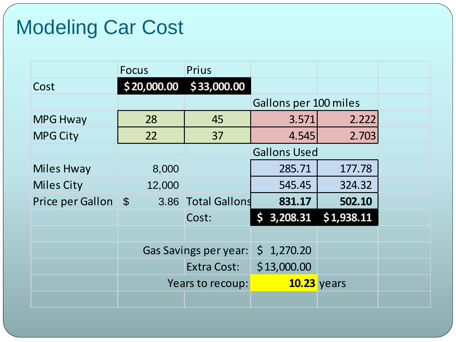# Modeling Car Cost

|                     | <b>Focus</b>     | Prius                        |                         |        |  |
|---------------------|------------------|------------------------------|-------------------------|--------|--|
| Cost                |                  | $$20,000.00$ $$33,000.00$    |                         |        |  |
|                     |                  |                              | Gallons per 100 miles   |        |  |
| <b>MPG Hway</b>     | 28               | 45                           | 3.571                   | 2.222  |  |
| <b>MPG City</b>     | 22               | 37                           | 4.545                   | 2.703  |  |
|                     |                  |                              | <b>Gallons Used</b>     |        |  |
| <b>Miles Hway</b>   | 8,000            |                              | 285.71                  | 177.78 |  |
| <b>Miles City</b>   | 12,000           |                              | 545.45                  | 324.32 |  |
| Price per Gallon \$ |                  | 3.86 Total Gallons           | 831.17                  | 502.10 |  |
|                     |                  | Cost:                        | $$3,208.31$ $$1,938.11$ |        |  |
|                     |                  |                              |                         |        |  |
|                     |                  | <b>Gas Savings per year:</b> | \$1,270.20              |        |  |
|                     |                  | <b>Extra Cost:</b>           | \$13,000.00             |        |  |
|                     | Years to recoup: |                              | 10.23 years             |        |  |
|                     |                  |                              |                         |        |  |